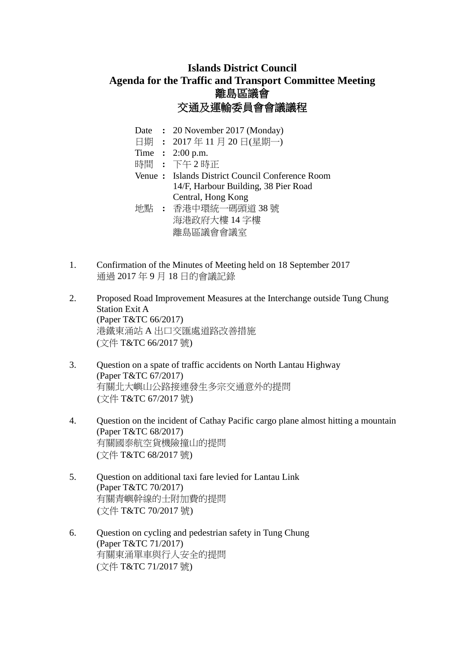## **Islands District Council Agenda for the Traffic and Transport Committee Meeting** 離島區議會 交通及運輸委員會會議議程

- Date **:** 20 November 2017 (Monday)
- 日期 **:** 2017 年 11 月 20 日(星期一)
- Time **:** 2:00 p.m.
- 時間 **:** 下午 2 時正

Venue **:** Islands District Council Conference Room 14/F, Harbour Building, 38 Pier Road Central, Hong Kong 地點 **:** 香港中環統一碼頭道 38 號

- 海港政府大樓 14 字樓 離島區議會會議室
- 1. Confirmation of the Minutes of Meeting held on 18 September 2017 通過 2017 年 9 月 18 日的會議記錄
- 2. Proposed Road Improvement Measures at the Interchange outside Tung Chung Station Exit A (Paper T&TC 66/2017) 港鐵東涌站 A 出口交匯處道路改善措施 (文件 T&TC 66/2017 號)
- 3. Question on a spate of traffic accidents on North Lantau Highway (Paper T&TC 67/2017) 有關北大嶼山公路接連發生多宗交通意外的提問 (文件 T&TC 67/2017 號)
- 4. Question on the incident of Cathay Pacific cargo plane almost hitting a mountain (Paper T&TC 68/2017) 有關國泰航空貨機險撞山的提問 (文件 T&TC 68/2017 號)
- 5. Question on additional taxi fare levied for Lantau Link (Paper T&TC 70/2017) 有關青嶼幹線的士附加費的提問 (文件 T&TC 70/2017 號)
- 6. Question on cycling and pedestrian safety in Tung Chung (Paper T&TC 71/2017) 有關東涌單車與行人安全的提問 (文件 T&TC 71/2017 號)